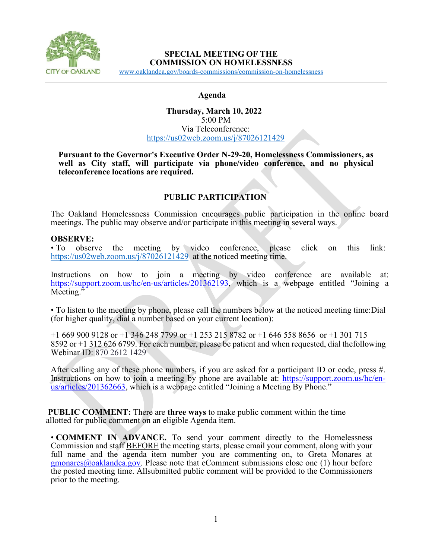

### **SPECIAL MEETING OF THE COMMISSION ON HOMELESSNESS**

[www.oaklandca.gov/boards-commissions/commission-on-homelessness](https://www.oaklandca.gov/boards-commissions/commission-on-homelessness/meetings) Ĩ,

#### **Agenda**

### **Thursday, March 10, 2022** 5:00 PM Via Teleconference: <https://us02web.zoom.us/j/87026121429>

**Pursuant to the Governor's Executive Order N-29-20, Homelessness Commissioners, as well as City staff, will participate via phone/video conference, and no physical teleconference locations are required.**

# **PUBLIC PARTICIPATION**

The Oakland Homelessness Commission encourages public participation in the online board meetings. The public may observe and/or participate in this meeting in several ways.

#### **OBSERVE:**

• To observe the meeting by video conference, please click on this link: <https://us02web.zoom.us/j/87026121429> at the noticed meeting time.

Instructions on how to join a meeting by video conference are available at: [https://support.zoom.us/hc/en-us/articles/201362193,](https://support.zoom.us/hc/en-us/articles/201362193) which is a webpage entitled "Joining a Meeting."

• To listen to the meeting by phone, please call the numbers below at the noticed meeting time:Dial (for higher quality, dial a number based on your current location):

+1 669 900 9128 or +1 346 248 7799 or +1 253 215 8782 or +1 646 558 8656 or +1 301 715 8592 or +1 312 626 6799. For each number, please be patient and when requested, dial thefollowing Webinar ID: 870 2612 1429

After calling any of these phone numbers, if you are asked for a participant ID or code, press #. Instructions on how to join a meeting by phone are available at: [https://support.zoom.us/hc/en](https://support.zoom.us/hc/en-us/articles/201362663)[us/articles/201362663,](https://support.zoom.us/hc/en-us/articles/201362663) which is a webpage entitled "Joining a Meeting By Phone."

**PUBLIC COMMENT:** There are **three ways** to make public comment within the time allotted for public comment on an eligible Agenda item.

• **COMMENT IN ADVANCE.** To send your comment directly to the Homelessness Commission and staff BEFORE the meeting starts, please email your comment, along with your full name and the agenda item number you are commenting on, to Greta Monares at  $g$ monares $@o$ aklandca.gov. Please note that eComment submissions close one (1) hour before the posted meeting time. Allsubmitted public comment will be provided to the Commissioners prior to the meeting.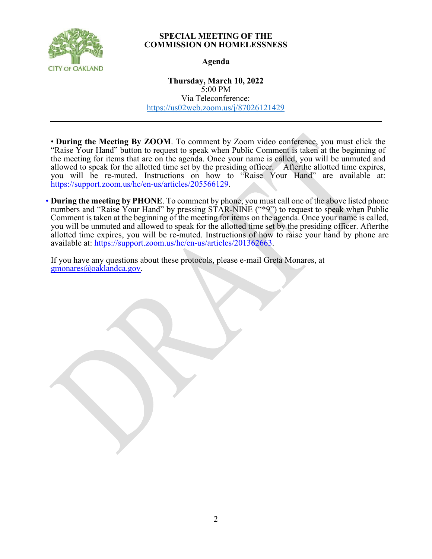

#### **SPECIAL MEETING OF THE COMMISSION ON HOMELESSNESS**

### **Agenda**

**Thursday, March 10, 2022** 5:00 PM Via Teleconference: <https://us02web.zoom.us/j/87026121429>

• **During the Meeting By ZOOM**. To comment by Zoom video conference, you must click the "Raise Your Hand" button to request to speak when Public Comment is taken at the beginning of the meeting for items that are on the agenda. Once your name is called, you will be unmuted and allowed to speak for the allotted time set by the presiding officer. After the allotted time expires, you will be re-muted. Instructions on how to "Raise Your Hand" are available at: [https://support.zoom.us/hc/en-us/articles/205566129.](https://support.zoom.us/hc/en-us/articles/205566129)

• **During the meeting by PHONE**. To comment by phone, you must call one of the above listed phone numbers and "Raise Your Hand" by pressing STAR-NINE ("\*9") to request to speak when Public Comment is taken at the beginning of the meeting for items on the agenda. Once your name is called, you will be unmuted and allowed to speak for the allotted time set by the presiding officer. Afterthe allotted time expires, you will be re-muted. Instructions of how to raise your hand by phone are available at: https://support.zoom.us/hc/en-us/articles/201362663.

If you have any questions about these protocols, please e-mail Greta Monares, at [gmonares@oaklandca.gov.](mailto:gmonares@oaklandca.gov)